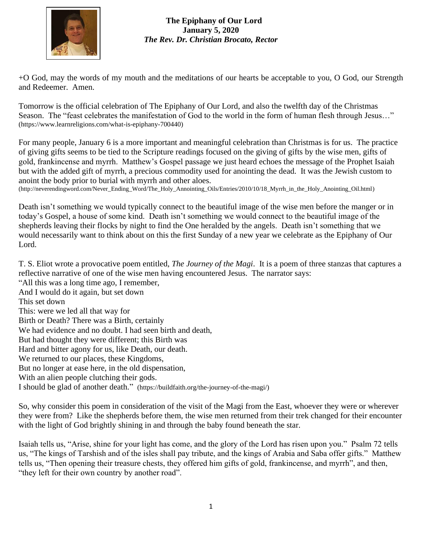

+O God, may the words of my mouth and the meditations of our hearts be acceptable to you, O God, our Strength and Redeemer. Amen.

Tomorrow is the official celebration of The Epiphany of Our Lord, and also the twelfth day of the Christmas Season. The "feast celebrates the manifestation of God to the world in the form of human flesh through Jesus…" [\(https://www.learnreligions.com/what-is-epiphany-700440\)](https://www.learnreligions.com/what-is-epiphany-700440)

For many people, January 6 is a more important and meaningful celebration than Christmas is for us. The practice of giving gifts seems to be tied to the Scripture readings focused on the giving of gifts by the wise men, gifts of gold, frankincense and myrrh. Matthew's Gospel passage we just heard echoes the message of the Prophet Isaiah but with the added gift of myrrh, a precious commodity used for anointing the dead. It was the Jewish custom to anoint the body prior to burial with myrrh and other aloes.

[\(http://neverendingword.com/Never\\_Ending\\_Word/The\\_Holy\\_Annointing\\_Oils/Entries/2010/10/18\\_Myrrh\\_in\\_the\\_Holy\\_Anointing\\_Oil.html\)](http://neverendingword.com/Never_Ending_Word/The_Holy_Annointing_Oils/Entries/2010/10/18_Myrrh_in_the_Holy_Anointing_Oil.html)

Death isn't something we would typically connect to the beautiful image of the wise men before the manger or in today's Gospel, a house of some kind. Death isn't something we would connect to the beautiful image of the shepherds leaving their flocks by night to find the One heralded by the angels. Death isn't something that we would necessarily want to think about on this the first Sunday of a new year we celebrate as the Epiphany of Our Lord.

T. S. Eliot wrote a provocative poem entitled, *The Journey of the Magi*. It is a poem of three stanzas that captures a reflective narrative of one of the wise men having encountered Jesus. The narrator says:

"All this was a long time ago, I remember, And I would do it again, but set down This set down This: were we led all that way for Birth or Death? There was a Birth, certainly We had evidence and no doubt. I had seen birth and death, But had thought they were different; this Birth was Hard and bitter agony for us, like Death, our death. We returned to our places, these Kingdoms, But no longer at ease here, in the old dispensation, With an alien people clutching their gods. I should be glad of another death." [\(https://buildfaith.org/the-journey-of-the-magi/\)](https://buildfaith.org/the-journey-of-the-magi/)

So, why consider this poem in consideration of the visit of the Magi from the East, whoever they were or wherever they were from? Like the shepherds before them, the wise men returned from their trek changed for their encounter with the light of God brightly shining in and through the baby found beneath the star.

Isaiah tells us, "Arise, shine for your light has come, and the glory of the Lord has risen upon you." Psalm 72 tells us, "The kings of Tarshish and of the isles shall pay tribute, and the kings of Arabia and Saba offer gifts." Matthew tells us, "Then opening their treasure chests, they offered him gifts of gold, frankincense, and myrrh", and then, "they left for their own country by another road".